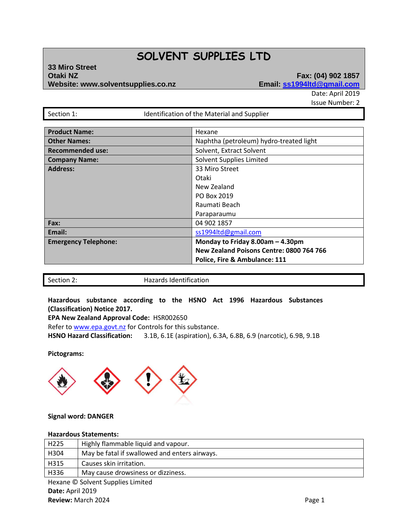# **SOLVENT SUPPLIES LTD**

#### **33 Miro Street Otaki NZ Fax: (04) 902 1857 Website: www.solventsupplies.co.nz**

Date: April 2019 Issue Number: 2

Section 1: **IDENTIFICATE:** Identification of the Material and Supplier

| <b>Product Name:</b>        | Hexane                                   |  |
|-----------------------------|------------------------------------------|--|
| <b>Other Names:</b>         | Naphtha (petroleum) hydro-treated light  |  |
| <b>Recommended use:</b>     | Solvent, Extract Solvent                 |  |
| <b>Company Name:</b>        | Solvent Supplies Limited                 |  |
| <b>Address:</b>             | 33 Miro Street                           |  |
|                             | Otaki                                    |  |
|                             | New Zealand                              |  |
|                             | PO Box 2019                              |  |
|                             | Raumati Beach                            |  |
|                             | Paraparaumu                              |  |
| Fax:                        | 04 902 1857                              |  |
| Email:                      | ss1994ltd@gmail.com                      |  |
| <b>Emergency Telephone:</b> | Monday to Friday 8.00am - 4.30pm         |  |
|                             | New Zealand Poisons Centre: 0800 764 766 |  |
|                             | Police, Fire & Ambulance: 111            |  |

Section 2: Hazards Identification

**Hazardous substance according to the HSNO Act 1996 Hazardous Substances (Classification) Notice 2017.**

**EPA New Zealand Approval Code:** HSR002650 Refer t[o www.epa.govt.nz](http://www.epa.govt.nz/) for Controls for this substance.

**HSNO Hazard Classification:** 3.1B, 6.1E (aspiration), 6.3A, 6.8B, 6.9 (narcotic), 6.9B, 9.1B

**Pictograms:**



# **Signal word: DANGER**

## **Hazardous Statements:**

| H225 | Highly flammable liquid and vapour.           |
|------|-----------------------------------------------|
| H304 | May be fatal if swallowed and enters airways. |
| H315 | Causes skin irritation.                       |
| H336 | May cause drowsiness or dizziness.            |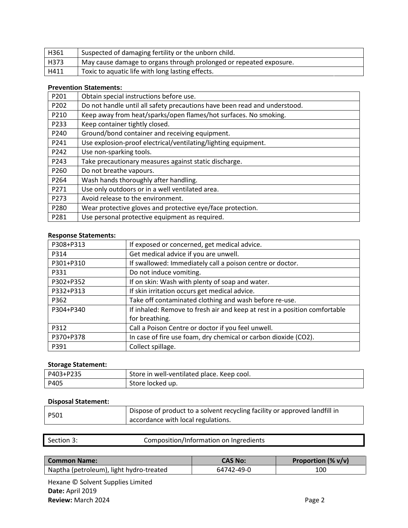| H361 | Suspected of damaging fertility or the unborn child.               |
|------|--------------------------------------------------------------------|
| H373 | May cause damage to organs through prolonged or repeated exposure. |
| H411 | Toxic to aquatic life with long lasting effects.                   |

#### **Prevention Statements:**

| P201 | Obtain special instructions before use.                                   |
|------|---------------------------------------------------------------------------|
| P202 | Do not handle until all safety precautions have been read and understood. |
| P210 | Keep away from heat/sparks/open flames/hot surfaces. No smoking.          |
| P233 | Keep container tightly closed.                                            |
| P240 | Ground/bond container and receiving equipment.                            |
| P241 | Use explosion-proof electrical/ventilating/lighting equipment.            |
| P242 | Use non-sparking tools.                                                   |
| P243 | Take precautionary measures against static discharge.                     |
| P260 | Do not breathe vapours.                                                   |
| P264 | Wash hands thoroughly after handling.                                     |
| P271 | Use only outdoors or in a well ventilated area.                           |
| P273 | Avoid release to the environment.                                         |
| P280 | Wear protective gloves and protective eye/face protection.                |
| P281 | Use personal protective equipment as required.                            |

#### **Response Statements:**

| P308+P313 | If exposed or concerned, get medical advice.                               |
|-----------|----------------------------------------------------------------------------|
| P314      | Get medical advice if you are unwell.                                      |
| P301+P310 | If swallowed: Immediately call a poison centre or doctor.                  |
| P331      | Do not induce vomiting.                                                    |
| P302+P352 | If on skin: Wash with plenty of soap and water.                            |
| P332+P313 | If skin irritation occurs get medical advice.                              |
| P362      | Take off contaminated clothing and wash before re-use.                     |
| P304+P340 | If inhaled: Remove to fresh air and keep at rest in a position comfortable |
|           | for breathing.                                                             |
| P312      | Call a Poison Centre or doctor if you feel unwell.                         |
| P370+P378 | In case of fire use foam, dry chemical or carbon dioxide (CO2).            |
| P391      | Collect spillage.                                                          |

# **Storage Statement:**

| P403+P235 | Store in well-ventilated place. Keep cool. |
|-----------|--------------------------------------------|
| P405      | Store locked up.                           |

#### **Disposal Statement:**

| P501 | Dispose of product to a solvent recycling facility or approved landfill in |
|------|----------------------------------------------------------------------------|
|      | accordance with local regulations.                                         |

| Section 3: |  |
|------------|--|
|------------|--|

## Composition/Information on Ingredients

| Common Name:                            | CAS No:    | Proportion $(\% v/v)$ |
|-----------------------------------------|------------|-----------------------|
| Naptha (petroleum), light hydro-treated | 64742-49-0 | 100                   |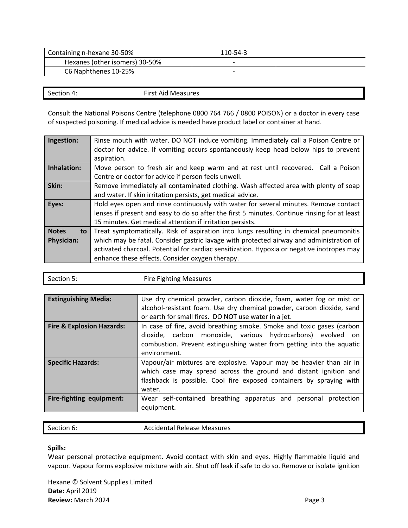| Containing n-hexane 30-50%     | 110-54-3 |  |
|--------------------------------|----------|--|
| Hexanes (other isomers) 30-50% |          |  |
| C6 Naphthenes 10-25%           |          |  |

| Section 4: | <b>First Aid Measures</b> |
|------------|---------------------------|
|            |                           |

Consult the National Poisons Centre (telephone 0800 764 766 / 0800 POISON) or a doctor in every case of suspected poisoning. If medical advice is needed have product label or container at hand.

| Ingestion:         | Rinse mouth with water. DO NOT induce vomiting. Immediately call a Poison Centre or          |  |
|--------------------|----------------------------------------------------------------------------------------------|--|
|                    | doctor for advice. If vomiting occurs spontaneously keep head below hips to prevent          |  |
|                    | aspiration.                                                                                  |  |
| Inhalation:        | Move person to fresh air and keep warm and at rest until recovered. Call a Poison            |  |
|                    | Centre or doctor for advice if person feels unwell.                                          |  |
| Skin:              | Remove immediately all contaminated clothing. Wash affected area with plenty of soap         |  |
|                    | and water. If skin irritation persists, get medical advice.                                  |  |
| Eyes:              | Hold eyes open and rinse continuously with water for several minutes. Remove contact         |  |
|                    | lenses if present and easy to do so after the first 5 minutes. Continue rinsing for at least |  |
|                    | 15 minutes. Get medical attention if irritation persists.                                    |  |
| <b>Notes</b><br>to | Treat symptomatically. Risk of aspiration into lungs resulting in chemical pneumonitis       |  |
| <b>Physician:</b>  | which may be fatal. Consider gastric lavage with protected airway and administration of      |  |
|                    | activated charcoal. Potential for cardiac sensitization. Hypoxia or negative inotropes may   |  |
|                    | enhance these effects. Consider oxygen therapy.                                              |  |

| <b>Extinguishing Media:</b>          | Use dry chemical powder, carbon dioxide, foam, water fog or mist or<br>alcohol-resistant foam. Use dry chemical powder, carbon dioxide, sand                                                                                    |  |
|--------------------------------------|---------------------------------------------------------------------------------------------------------------------------------------------------------------------------------------------------------------------------------|--|
|                                      | or earth for small fires. DO NOT use water in a jet.                                                                                                                                                                            |  |
| <b>Fire &amp; Explosion Hazards:</b> | In case of fire, avoid breathing smoke. Smoke and toxic gases (carbon<br>dioxide, carbon monoxide, various hydrocarbons) evolved<br>on<br>combustion. Prevent extinguishing water from getting into the aquatic<br>environment. |  |
| <b>Specific Hazards:</b>             | Vapour/air mixtures are explosive. Vapour may be heavier than air in<br>which case may spread across the ground and distant ignition and<br>flashback is possible. Cool fire exposed containers by spraying with<br>water.      |  |
| Fire-fighting equipment:             | Wear self-contained breathing apparatus and personal<br>protection<br>equipment.                                                                                                                                                |  |

Section 6: Accidental Release Measures

### **Spills:**

Wear personal protective equipment. Avoid contact with skin and eyes. Highly flammable liquid and vapour. Vapour forms explosive mixture with air. Shut off leak if safe to do so. Remove or isolate ignition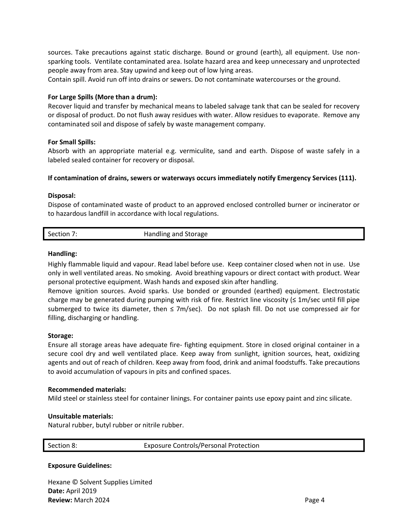sources. Take precautions against static discharge. Bound or ground (earth), all equipment. Use nonsparking tools. Ventilate contaminated area. Isolate hazard area and keep unnecessary and unprotected people away from area. Stay upwind and keep out of low lying areas.

Contain spill. Avoid run off into drains or sewers. Do not contaminate watercourses or the ground.

#### **For Large Spills (More than a drum):**

Recover liquid and transfer by mechanical means to labeled salvage tank that can be sealed for recovery or disposal of product. Do not flush away residues with water. Allow residues to evaporate. Remove any contaminated soil and dispose of safely by waste management company.

### **For Small Spills:**

Absorb with an appropriate material e.g. vermiculite, sand and earth. Dispose of waste safely in a labeled sealed container for recovery or disposal.

#### **If contamination of drains, sewers or waterways occurs immediately notify Emergency Services (111).**

#### **Disposal:**

Dispose of contaminated waste of product to an approved enclosed controlled burner or incinerator or to hazardous landfill in accordance with local regulations.

| Section 7.<br>Handling and Storage |
|------------------------------------|
|------------------------------------|

#### **Handling:**

Highly flammable liquid and vapour. Read label before use. Keep container closed when not in use. Use only in well ventilated areas. No smoking. Avoid breathing vapours or direct contact with product. Wear personal protective equipment. Wash hands and exposed skin after handling.

Remove ignition sources. Avoid sparks. Use bonded or grounded (earthed) equipment. Electrostatic charge may be generated during pumping with risk of fire. Restrict line viscosity (≤ 1m/sec until fill pipe submerged to twice its diameter, then  $\leq$  7m/sec). Do not splash fill. Do not use compressed air for filling, discharging or handling.

#### **Storage:**

Ensure all storage areas have adequate fire- fighting equipment. Store in closed original container in a secure cool dry and well ventilated place. Keep away from sunlight, ignition sources, heat, oxidizing agents and out of reach of children. Keep away from food, drink and animal foodstuffs. Take precautions to avoid accumulation of vapours in pits and confined spaces.

#### **Recommended materials:**

Mild steel or stainless steel for container linings. For container paints use epoxy paint and zinc silicate.

#### **Unsuitable materials:**

Natural rubber, butyl rubber or nitrile rubber.

Section 8: Exposure Controls/Personal Protection

#### **Exposure Guidelines:**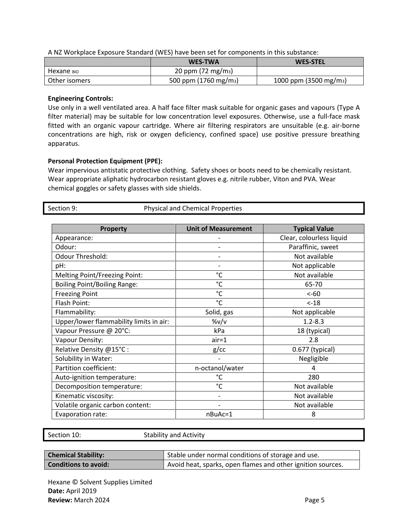| A NZ Workplace Exposure Standard (WES) have been set for components in this substance: |  |  |
|----------------------------------------------------------------------------------------|--|--|
|----------------------------------------------------------------------------------------|--|--|

|               | <b>WES-TWA</b>                  | <b>WES-STEL</b>                    |
|---------------|---------------------------------|------------------------------------|
| Hexane BIO    | 20 ppm $(72 \text{ mg/m}_3)$    |                                    |
| Other isomers | 500 ppm $(1760 \text{ mg/m}_3)$ | 1000 ppm (3500 mg/m <sub>3</sub> ) |

#### **Engineering Controls:**

Use only in a well ventilated area. A half face filter mask suitable for organic gases and vapours (Type A filter material) may be suitable for low concentration level exposures. Otherwise, use a full-face mask fitted with an organic vapour cartridge. Where air filtering respirators are unsuitable (e.g. air-borne concentrations are high, risk or oxygen deficiency, confined space) use positive pressure breathing apparatus.

#### **Personal Protection Equipment (PPE):**

Wear impervious antistatic protective clothing. Safety shoes or boots need to be chemically resistant. Wear appropriate aliphatic hydrocarbon resistant gloves e.g. nitrile rubber, Viton and PVA. Wear chemical goggles or safety glasses with side shields.

| <b>Physical and Chemical Properties</b><br>Section 9: |                              |                          |
|-------------------------------------------------------|------------------------------|--------------------------|
| <b>Property</b>                                       | <b>Unit of Measurement</b>   | <b>Typical Value</b>     |
| Appearance:                                           |                              | Clear, colourless liquid |
| Odour:                                                |                              | Paraffinic, sweet        |
| <b>Odour Threshold:</b>                               | $\qquad \qquad \blacksquare$ | Not available            |
| pH:                                                   | $\overline{\phantom{a}}$     | Not applicable           |
| <b>Melting Point/Freezing Point:</b>                  | $^{\circ}$ C                 | Not available            |
| <b>Boiling Point/Boiling Range:</b>                   | $^{\circ}$ C                 | 65-70                    |
| <b>Freezing Point</b>                                 | $\rm ^{\circ}C$              | $< -60$                  |
| Flash Point:                                          | $^{\circ}$ C                 | $< -18$                  |
| Flammability:                                         | Solid, gas                   | Not applicable           |
| Upper/lower flammability limits in air:               | $\frac{\%v}{v}$              | $1.2 - 8.3$              |
| Vapour Pressure @ 20°C:                               | kPa                          | 18 (typical)             |
| Vapour Density:                                       | $air = 1$                    | 2.8                      |
| Relative Density @15°C:                               | $g$ / $cc$                   | 0.677 (typical)          |
| Solubility in Water:                                  |                              | Negligible               |
| Partition coefficient:                                | n-octanol/water              | 4                        |
| Auto-ignition temperature:                            | $^{\circ}$ C                 | 280                      |
| Decomposition temperature:                            | °C                           | Not available            |
| Kinematic viscosity:                                  |                              | Not available            |
| Volatile organic carbon content:                      |                              | Not available            |
| Evaporation rate:                                     | nBuAc=1                      | 8                        |

Section 10: Stability and Activity

| <b>Chemical Stability:</b>  | Stable under normal conditions of storage and use.          |
|-----------------------------|-------------------------------------------------------------|
| <b>Conditions to avoid:</b> | Avoid heat, sparks, open flames and other ignition sources. |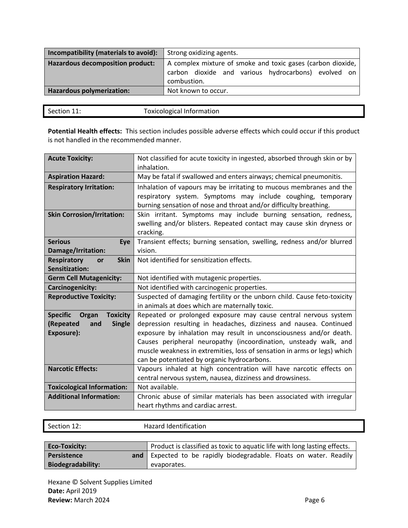| Incompatibility (materials to avoid):   | Strong oxidizing agents.                                                                                                                                           |  |
|-----------------------------------------|--------------------------------------------------------------------------------------------------------------------------------------------------------------------|--|
| <b>Hazardous decomposition product:</b> | A complex mixture of smoke and toxic gases (carbon dioxide,<br>carbon dioxide and various hydrocarbons) evolved<br>$^*$ on $\overline{\phantom{a}}$<br>combustion. |  |
| <b>Hazardous polymerization:</b>        | Not known to occur.                                                                                                                                                |  |

| Section 11: | <b>Toxicological Information</b> |
|-------------|----------------------------------|
|             |                                  |

**Potential Health effects:** This section includes possible adverse effects which could occur if this product is not handled in the recommended manner.

| <b>Acute Toxicity:</b>                      | Not classified for acute toxicity in ingested, absorbed through skin or by<br>inhalation.                                                                                                                |
|---------------------------------------------|----------------------------------------------------------------------------------------------------------------------------------------------------------------------------------------------------------|
| <b>Aspiration Hazard:</b>                   | May be fatal if swallowed and enters airways; chemical pneumonitis.                                                                                                                                      |
| <b>Respiratory Irritation:</b>              | Inhalation of vapours may be irritating to mucous membranes and the<br>respiratory system. Symptoms may include coughing, temporary<br>burning sensation of nose and throat and/or difficulty breathing. |
| <b>Skin Corrosion/Irritation:</b>           | Skin irritant. Symptoms may include burning sensation, redness,                                                                                                                                          |
|                                             | swelling and/or blisters. Repeated contact may cause skin dryness or<br>cracking.                                                                                                                        |
| <b>Serious</b><br>Eye                       | Transient effects; burning sensation, swelling, redness and/or blurred                                                                                                                                   |
| Damage/Irritation:                          | vision.                                                                                                                                                                                                  |
| <b>Skin</b><br><b>Respiratory</b><br>or     | Not identified for sensitization effects.                                                                                                                                                                |
| Sensitization:                              |                                                                                                                                                                                                          |
| <b>Germ Cell Mutagenicity:</b>              | Not identified with mutagenic properties.                                                                                                                                                                |
| Carcinogenicity:                            | Not identified with carcinogenic properties.                                                                                                                                                             |
| <b>Reproductive Toxicity:</b>               | Suspected of damaging fertility or the unborn child. Cause feto-toxicity                                                                                                                                 |
|                                             | in animals at does which are maternally toxic.                                                                                                                                                           |
| <b>Specific</b><br><b>Toxicity</b><br>Organ | Repeated or prolonged exposure may cause central nervous system                                                                                                                                          |
| (Repeated<br><b>Single</b><br>and           | depression resulting in headaches, dizziness and nausea. Continued                                                                                                                                       |
| Exposure):                                  | exposure by inhalation may result in unconsciousness and/or death.                                                                                                                                       |
|                                             | Causes peripheral neuropathy (incoordination, unsteady walk, and                                                                                                                                         |
|                                             | muscle weakness in extremities, loss of sensation in arms or legs) which                                                                                                                                 |
|                                             | can be potentiated by organic hydrocarbons.                                                                                                                                                              |
| <b>Narcotic Effects:</b>                    | Vapours inhaled at high concentration will have narcotic effects on                                                                                                                                      |
|                                             | central nervous system, nausea, dizziness and drowsiness.                                                                                                                                                |
| <b>Toxicological Information:</b>           | Not available.                                                                                                                                                                                           |
| <b>Additional Information:</b>              | Chronic abuse of similar materials has been associated with irregular                                                                                                                                    |
|                                             | heart rhythms and cardiac arrest.                                                                                                                                                                        |

| Section 12:   | Hazard Identification                                                     |
|---------------|---------------------------------------------------------------------------|
|               |                                                                           |
| Eco-Toxicity: | Product is classified as toxic to aquatic life with long lasting effects. |

| <b>Eco-Toxicity:</b>     | Product is classified as toxic to aquatic life with long lasting effects. |  |
|--------------------------|---------------------------------------------------------------------------|--|
| <b>Persistence</b>       | and Expected to be rapidly biodegradable. Floats on water. Readily        |  |
| <b>Biodegradability:</b> | evaporates.                                                               |  |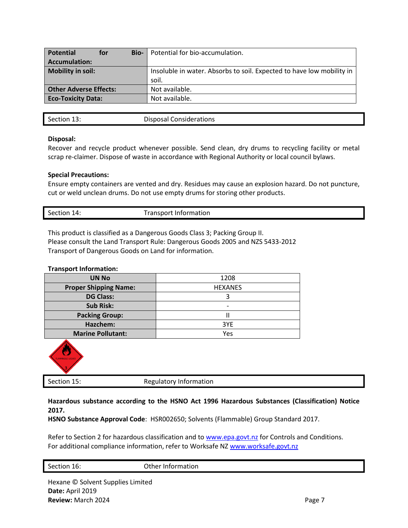| <b>Potential</b>              | for | Bio- | Potential for bio-accumulation.                                       |
|-------------------------------|-----|------|-----------------------------------------------------------------------|
| <b>Accumulation:</b>          |     |      |                                                                       |
| <b>Mobility in soil:</b>      |     |      | Insoluble in water. Absorbs to soil. Expected to have low mobility in |
|                               |     |      | soil.                                                                 |
| <b>Other Adverse Effects:</b> |     |      | Not available.                                                        |
| <b>Eco-Toxicity Data:</b>     |     |      | Not available.                                                        |
|                               |     |      |                                                                       |

| Section 13: | <b>Disposal Considerations</b> |
|-------------|--------------------------------|
|             |                                |

#### **Disposal:**

Recover and recycle product whenever possible. Send clean, dry drums to recycling facility or metal scrap re-claimer. Dispose of waste in accordance with Regional Authority or local council bylaws.

#### **Special Precautions:**

Ensure empty containers are vented and dry. Residues may cause an explosion hazard. Do not puncture, cut or weld unclean drums. Do not use empty drums for storing other products.

| Section $\mathbf{r}$<br>14: | ransport Information |
|-----------------------------|----------------------|
|                             |                      |

This product is classified as a Dangerous Goods Class 3; Packing Group II. Please consult the Land Transport Rule: Dangerous Goods 2005 and NZS 5433-2012 Transport of Dangerous Goods on Land for information.

#### **Transport Information:**

| <b>UN No</b>                 | 1208           |
|------------------------------|----------------|
| <b>Proper Shipping Name:</b> | <b>HEXANES</b> |
| <b>DG Class:</b>             |                |
| <b>Sub Risk:</b>             | -              |
| <b>Packing Group:</b>        |                |
| Hazchem:                     | 3YE            |
| <b>Marine Pollutant:</b>     | Yes            |



Section 15: Regulatory Information

### **Hazardous substance according to the HSNO Act 1996 Hazardous Substances (Classification) Notice 2017.**

**HSNO Substance Approval Code**: HSR002650; Solvents (Flammable) Group Standard 2017.

Refer to Section 2 for hazardous classification and to [www.epa.govt.nz](http://www.epa.govt.nz/) for Controls and Conditions. For additional compliance information, refer to Worksafe NZ [www.worksafe.govt.nz](http://www.worksafe.govt.nz/)

Section 16: Contract Communication Communication